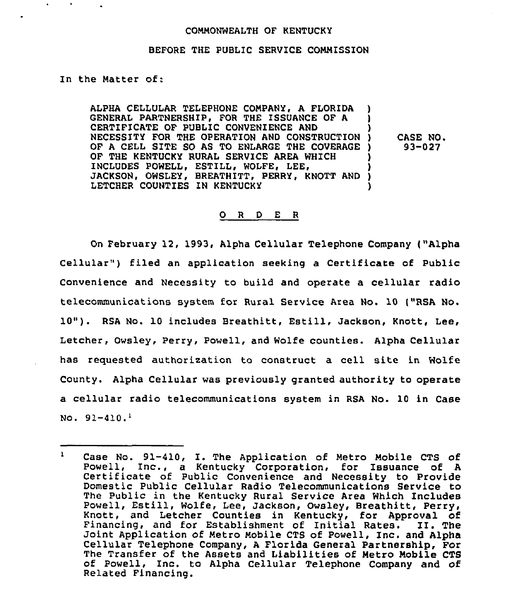## COMMONWEALTH OF KENTUCKY

## BEFORE THE PUBLIC SERVICE COMMISSION

In the Matter of:

ALPHA CELLULAR TELEPHONE COMPANY, A FLORIDA ) GENERAL PARTNERSHIP. FOR THE ISSUANCE OF A CERTIFICATE OF PUBLIC CONVENIENCE AND NECESSITY FOR THE OPERATION AND CONSTRUCTION ) OF <sup>A</sup> CELL SITE SO AS TO ENLARGE THE COVERAGE ) OF THE KENTUCKY RURAL SERVICE AREA WHICH INCLUDES POWELL, ESTILL, WOLFE, LEE, JACKSON, OWSLEY, BREATHITT, PERRY, KNOTT AND ) LETCHER COUNTIES IN KENTUCKY CASE NO. 93-027

## 0 <sup>R</sup> <sup>D</sup> E <sup>R</sup>

On February 12, 1993, Alpha Cellular Telephone Company ("Alpha Cellular") filed an application seeking a Certificate of Public Convenience and Necessity to build and operate a cellular radio telecommunications system for Rural Service Area No. 10 ("RSA No. 10"). RSA No. <sup>10</sup> includes Breathitt, Estill, Jackson, Knott, Lee, Letcher, Owsley, Perry, Powell, and Wolfe counties. Alpha Cellular has requested authorization to construct a cell site in Wolfe County. Alpha Cellular was previously granted authority to operate a cellular radio telecommunications system in RSA No. 10 in Case No.  $91 - 410.$ 

 $\mathbf{1}$ Case No. 91-410, I. The Application of Metro Mobile CTS of Powell, Inc., <sup>a</sup> Kentucky Corporation, for Issuance of <sup>A</sup> Certificate of Public Convenience and Necessity to Provide Domestic Public Cellular Radio Telecommunications Service to The Public in the Kentucky Rural Service Area Which Includes Powell, Estill, Wolfe, Lee, Jackson, Owsley, Breathitt, Perry, Knott, and Letcher Counties in Kentucky, for Approval of Financing, and for Establishment of Initial Rates. II. The Joint Application of Metro Mobile CTS of Powell, Inc. and Alpha<br>Cellular Telephone Company, A Florida General Partnership, For<br>The Transfer of the Assets and Liabilities of Metro Mobile CTS of Powell, Inc. to Alpha Cellular Telephone Company and of Related Financing.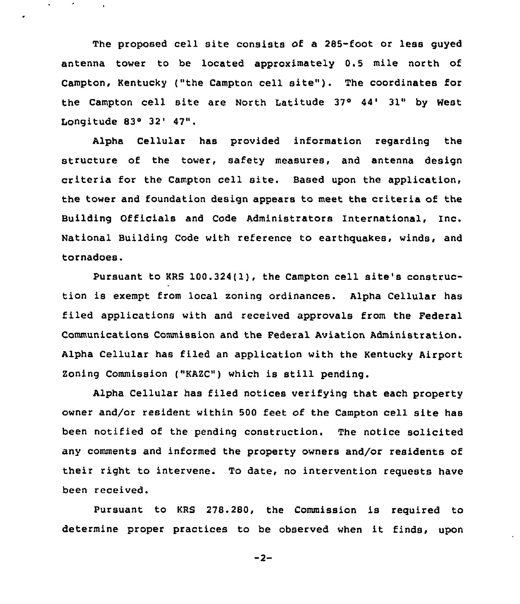The proposed cell site consists of a 285-foot or less guyed antenna tower to be located approximately 0.5 mile north of Campton, Kentucky ("the Campton cell site"). The coordinates for the Campton cell site are North Latitude 37° 44' 31" by West Longitude 83° 32' 47".

Alpha Cellular has provided information regarding the structure of the tower, safety measures, and antenna design criteria for the Campton cell site. Based upon the application, the tower and foundation design appears to meet the criteria of the Building Officials and Code Administrators International, Inc. National Building Code with reference to earthquakes, winds, and tornadoes.

Pursuant to KRS 100.324(l), the Campton cell site's construction is exempt from local zoning ordinances. Alpha Cellular has filed applications with and received approvals from the Federal Communications Commission and the Federal Aviation Administration. Alpha Cellular has filed an application with the Kentucky Airport Zoning Commission ("KAZC") which is still pending.

Alpha Cellular has filed notices verifying that each property owner and/or resident within 500 feet of the Campton cell site has been notified of the pending construction. The notice solicited any comments and informed the property owners and/or residents of their right to intervene. To date, no intervention requests have been received.

Pursuant to KRS 278.280, the Commission is required to determine proper practices to be observed when it finds, upon

 $-2-$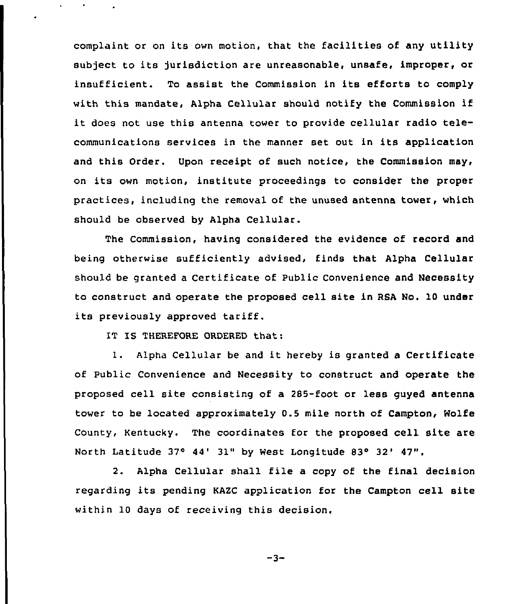complaint or on its own motion, that the facilities of any utility subject to its jurisdiction are unreasonable, unsafe, improper, or insufficient. To assist the Commission in its efforts to comply with this mandate, Alpha Cellular should notify the Commission if it does not use this antenna tower to provide cellular radio telecommunications services in the manner set out in its application and this Order. Upon receipt of such notice, the Commission may, on its own motion, institute proceedings to consider the proper practices, including the removal of the unused antenna tower, which should be observed by Alpha Cellular.

The Commission, having considered the evidence of record and being otherwise sufficiently advised, finds that Alpha Cellular should be granted a Certificate of Public Convenience and Necessity to construct and operate the proposed cell site in RBA No. 10 under its previously approved tariff.

IT IS THEREFORE ORDERED that:

1. Alpha Cellular be and it hereby is granted <sup>a</sup> Certificate of Public Convenience and Necessity to construct and operate the proposed cell site consisting of a 285-foot or less guyed antenna tower to be located approximately 0.5 mile north of Campton, Wolfe County, Kentucky. The coordinates for the proposed cell site are North Latitude 37° 44' 31" by West Longitude 83° 32' 47".

2. Alpha Cellular shall file <sup>a</sup> copy of the final decision regarding its pending KAZC application for the Campton cell site within 10 days of receiving this decision.

 $-3-$